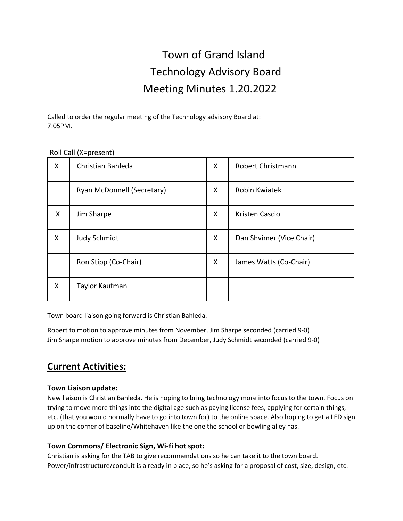# Town of Grand Island Technology Advisory Board Meeting Minutes 1.20.2022

Called to order the regular meeting of the Technology advisory Board at: 7:05PM.

| X | Christian Bahleda          | Χ | Robert Christmann        |
|---|----------------------------|---|--------------------------|
|   | Ryan McDonnell (Secretary) | X | Robin Kwiatek            |
| X | Jim Sharpe                 | X | Kristen Cascio           |
| X | <b>Judy Schmidt</b>        | X | Dan Shvimer (Vice Chair) |
|   | Ron Stipp (Co-Chair)       | Χ | James Watts (Co-Chair)   |
| Χ | Taylor Kaufman             |   |                          |

### Roll Call (X=present)

Town board liaison going forward is Christian Bahleda.

Robert to motion to approve minutes from November, Jim Sharpe seconded (carried 9-0) Jim Sharpe motion to approve minutes from December, Judy Schmidt seconded (carried 9-0)

# **Current Activities:**

#### **Town Liaison update:**

New liaison is Christian Bahleda. He is hoping to bring technology more into focus to the town. Focus on trying to move more things into the digital age such as paying license fees, applying for certain things, etc. (that you would normally have to go into town for) to the online space. Also hoping to get a LED sign up on the corner of baseline/Whitehaven like the one the school or bowling alley has.

#### **Town Commons/ Electronic Sign, Wi-fi hot spot:**

Christian is asking for the TAB to give recommendations so he can take it to the town board. Power/infrastructure/conduit is already in place, so he's asking for a proposal of cost, size, design, etc.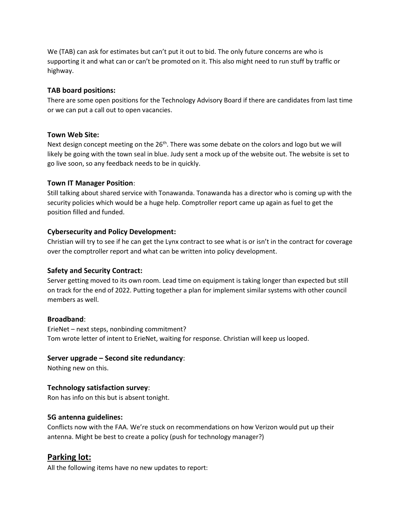We (TAB) can ask for estimates but can't put it out to bid. The only future concerns are who is supporting it and what can or can't be promoted on it. This also might need to run stuff by traffic or highway.

#### **TAB board positions:**

There are some open positions for the Technology Advisory Board if there are candidates from last time or we can put a call out to open vacancies.

#### **Town Web Site:**

Next design concept meeting on the 26<sup>th</sup>. There was some debate on the colors and logo but we will likely be going with the town seal in blue. Judy sent a mock up of the website out. The website is set to go live soon, so any feedback needs to be in quickly.

#### **Town IT Manager Position**:

Still talking about shared service with Tonawanda. Tonawanda has a director who is coming up with the security policies which would be a huge help. Comptroller report came up again as fuel to get the position filled and funded.

#### **Cybersecurity and Policy Development:**

Christian will try to see if he can get the Lynx contract to see what is or isn't in the contract for coverage over the comptroller report and what can be written into policy development.

#### **Safety and Security Contract:**

Server getting moved to its own room. Lead time on equipment is taking longer than expected but still on track for the end of 2022. Putting together a plan for implement similar systems with other council members as well.

#### **Broadband**:

ErieNet – next steps, nonbinding commitment? Tom wrote letter of intent to ErieNet, waiting for response. Christian will keep us looped.

#### **Server upgrade – Second site redundancy**:

Nothing new on this.

#### **Technology satisfaction survey**:

Ron has info on this but is absent tonight.

#### **5G antenna guidelines:**

Conflicts now with the FAA. We're stuck on recommendations on how Verizon would put up their antenna. Might be best to create a policy (push for technology manager?)

## **Parking lot:**

All the following items have no new updates to report: